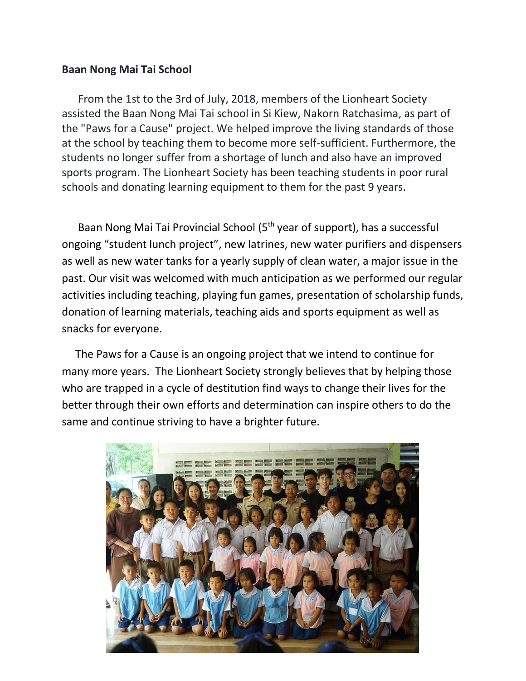## **Baan Nong Mai Tai School**

 From the 1st to the 3rd of July, 2018, members of the Lionheart Society assisted the Baan Nong Mai Tai school in Si Kiew, Nakorn Ratchasima, as part of the "Paws for a Cause" project. We helped improve the living standards of those at the school by teaching them to become more self-sufficient. Furthermore, the students no longer suffer from a shortage of lunch and also have an improved sports program. The Lionheart Society has been teaching students in poor rural schools and donating learning equipment to them for the past 9 years.

Baan Nong Mai Tai Provincial School (5<sup>th</sup> year of support), has a successful ongoing "student lunch project", new latrines, new water purifiers and dispensers as well as new water tanks for a yearly supply of clean water, a major issue in the past. Our visit was welcomed with much anticipation as we performed our regular activities including teaching, playing fun games, presentation of scholarship funds, donation of learning materials, teaching aids and sports equipment as well as snacks for everyone.

 The Paws for a Cause is an ongoing project that we intend to continue for many more years. The Lionheart Society strongly believes that by helping those who are trapped in a cycle of destitution find ways to change their lives for the better through their own efforts and determination can inspire others to do the same and continue striving to have a brighter future.

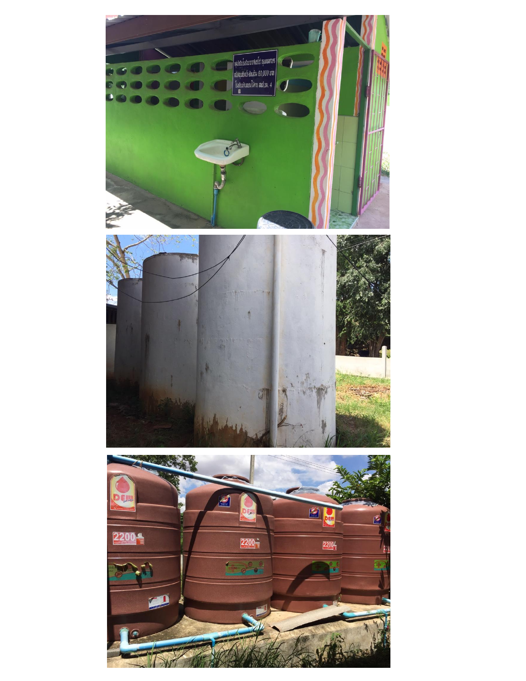